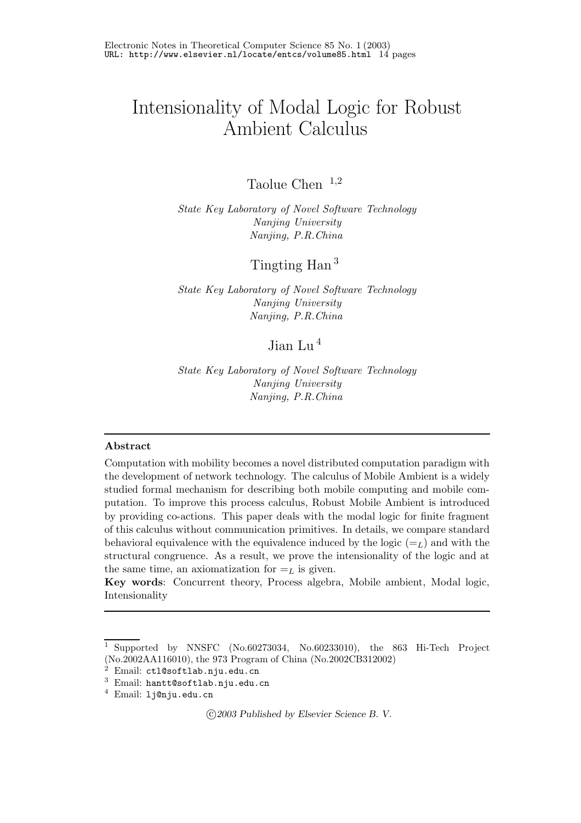# Intensionality of Modal Logic for Robust Ambient Calculus

Taolue Chen  $1,2$ 

*State Key Laboratory of Novel Software Technology Nanjing, P.R.China Nanjing, P.R.China*

Tingting Han <sup>3</sup>

*State Key Laboratory of Novel Software Technology Nanjing, P.R.China Nanjing, P.R.China*

# Jian Lu <sup>4</sup>

*State Key Laboratory of Novel Software Technology Nanjing University Nanjing, P.R.China*

#### **Abstract**

Computation with mobility becomes a novel distributed computation paradigm with the development of network technology. The calculus of Mobile Ambient is a widely studied formal mechanism for describing both mobile computing and mobile computation. To improve this process calculus, Robust Mobile Ambient is introduced by providing co-actions. This paper deals with the modal logic for finite fragment of this calculus without communication primitives. In details, we compare standard behavioral equivalence with the equivalence induced by the logic  $(=_L)$  and with the structural congruence. As a result, we prove the intensionality of the logic and at the same time, an axiomatization for  $=$ <sub>L</sub> is given.

**Key words**: Concurrent theory, Process algebra, Mobile ambient, Modal logic, Intensionality

<sup>c</sup> *2003 Published by Elsevier Science B. V.*

<sup>1</sup> Supported by NNSFC (No.60273034, No.60233010), the 863 Hi-Tech Project (No.2002AA116010), the 973 Program of China (No.2002CB312002)

 $2$  Email: ctl@softlab.nju.edu.cn

<sup>3</sup> Email: hantt@softlab.nju.edu.cn

<sup>4</sup> Email: lj@nju.edu.cn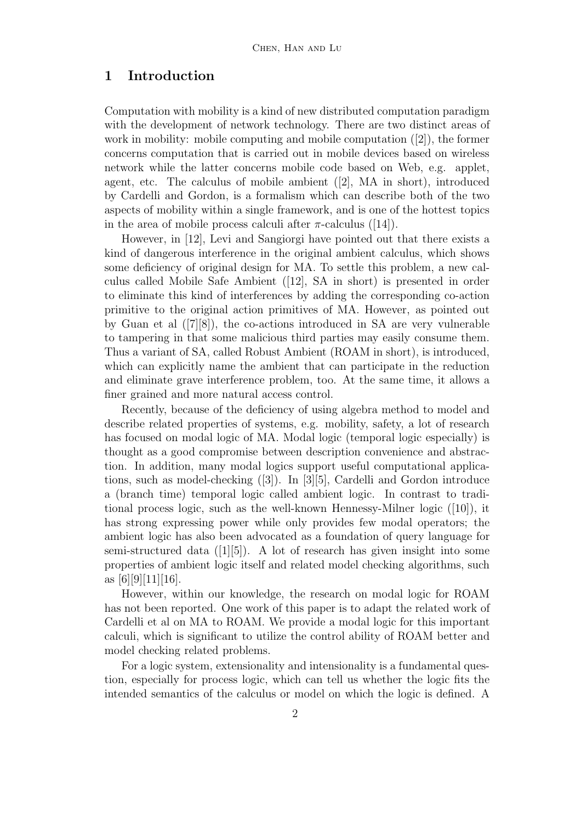# **1 Introduction**

Computation with mobility is a kind of new distributed computation paradigm with the development of network technology. There are two distinct areas of work in mobility: mobile computing and mobile computation  $([2])$ , the former concerns computation that is carried out in mobile devices based on wireless network while the latter concerns mobile code based on Web, e.g. applet, agent, etc. The calculus of mobile ambient ([2], MA in short), introduced by Cardelli and Gordon, is a formalism which can describe both of the two aspects of mobility within a single framework, and is one of the hottest topics in the area of mobile process calculi after  $\pi$ -calculus ([14]).

However, in [12], Levi and Sangiorgi have pointed out that there exists a kind of dangerous interference in the original ambient calculus, which shows some deficiency of original design for MA. To settle this problem, a new calculus called Mobile Safe Ambient ([12], SA in short) is presented in order to eliminate this kind of interferences by adding the corresponding co-action primitive to the original action primitives of MA. However, as pointed out by Guan et al  $([7][8])$ , the co-actions introduced in SA are very vulnerable to tampering in that some malicious third parties may easily consume them. Thus a variant of SA, called Robust Ambient (ROAM in short), is introduced, which can explicitly name the ambient that can participate in the reduction and eliminate grave interference problem, too. At the same time, it allows a finer grained and more natural access control.

Recently, because of the deficiency of using algebra method to model and describe related properties of systems, e.g. mobility, safety, a lot of research has focused on modal logic of MA. Modal logic (temporal logic especially) is thought as a good compromise between description convenience and abstraction. In addition, many modal logics support useful computational applications, such as model-checking ([3]). In [3][5], Cardelli and Gordon introduce a (branch time) temporal logic called ambient logic. In contrast to traditional process logic, such as the well-known Hennessy-Milner logic ([10]), it has strong expressing power while only provides few modal operators; the ambient logic has also been advocated as a foundation of query language for semi-structured data ([1][5]). A lot of research has given insight into some properties of ambient logic itself and related model checking algorithms, such as  $|6||9||11||16|$ .

However, within our knowledge, the research on modal logic for ROAM has not been reported. One work of this paper is to adapt the related work of Cardelli et al on MA to ROAM. We provide a modal logic for this important calculi, which is significant to utilize the control ability of ROAM better and model checking related problems.

For a logic system, extensionality and intensionality is a fundamental question, especially for process logic, which can tell us whether the logic fits the intended semantics of the calculus or model on which the logic is defined. A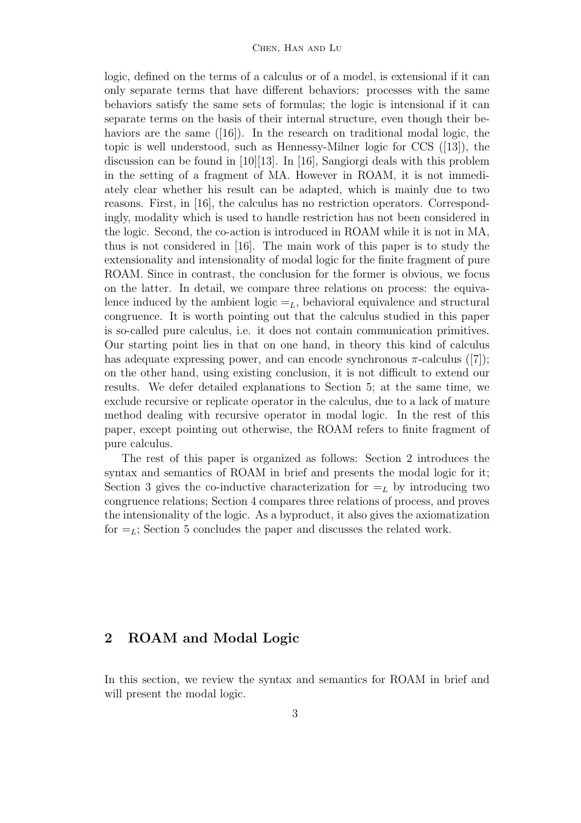logic, defined on the terms of a calculus or of a model, is extensional if it can only separate terms that have different behaviors: processes with the same behaviors satisfy the same sets of formulas; the logic is intensional if it can separate terms on the basis of their internal structure, even though their behaviors are the same ([16]). In the research on traditional modal logic, the topic is well understood, such as Hennessy-Milner logic for CCS ([13]), the discussion can be found in [10][13]. In [16], Sangiorgi deals with this problem in the setting of a fragment of MA. However in ROAM, it is not immediately clear whether his result can be adapted, which is mainly due to two reasons. First, in [16], the calculus has no restriction operators. Correspondingly, modality which is used to handle restriction has not been considered in the logic. Second, the co-action is introduced in ROAM while it is not in MA, thus is not considered in [16]. The main work of this paper is to study the extensionality and intensionality of modal logic for the finite fragment of pure ROAM. Since in contrast, the conclusion for the former is obvious, we focus on the latter. In detail, we compare three relations on process: the equivalence induced by the ambient logic  $=_L$ , behavioral equivalence and structural congruence. It is worth pointing out that the calculus studied in this paper is so-called pure calculus, i.e. it does not contain communication primitives. Our starting point lies in that on one hand, in theory this kind of calculus has adequate expressing power, and can encode synchronous  $\pi$ -calculus ([7]); on the other hand, using existing conclusion, it is not difficult to extend our results. We defer detailed explanations to Section 5; at the same time, we exclude recursive or replicate operator in the calculus, due to a lack of mature method dealing with recursive operator in modal logic. In the rest of this paper, except pointing out otherwise, the ROAM refers to finite fragment of pure calculus.

The rest of this paper is organized as follows: Section 2introduces the syntax and semantics of ROAM in brief and presents the modal logic for it; Section 3 gives the co-inductive characterization for  $=$ <sub>L</sub> by introducing two congruence relations; Section 4 compares three relations of process, and proves the intensionality of the logic. As a byproduct, it also gives the axiomatization for  $=$ <sub>L</sub>; Section 5 concludes the paper and discusses the related work.

# **2 ROAM and Modal Logic**

In this section, we review the syntax and semantics for ROAM in brief and will present the modal logic.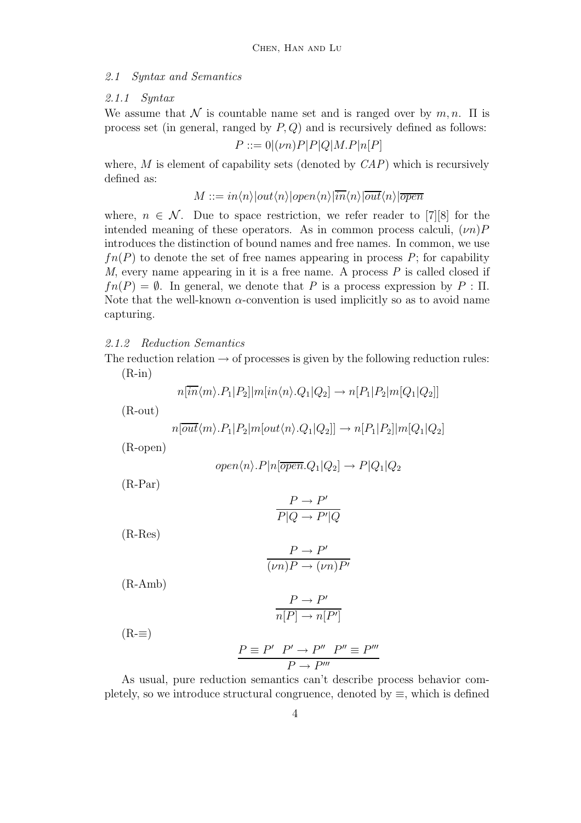#### *2.1 Syntax and Semantics*

#### *2.1.1 Syntax*

We assume that N is countable name set and is ranged over by  $m, n$ .  $\Pi$  is process set (in general, ranged by *P, Q*) and is recursively defined as follows:

$$
P ::= 0 | (\nu n)P|P|Q|M.P|n[P]
$$

where, *M* is element of capability sets (denoted by *CAP*) which is recursively defined as:

$$
M ::= in \langle n \rangle | out \langle n \rangle | open \langle n \rangle | \overline{in} \langle n \rangle | \overline{out} \langle n \rangle | \overline{open}
$$

where,  $n \in \mathcal{N}$ . Due to space restriction, we refer reader to [7][8] for the intended meaning of these operators. As in common process calculi,  $(\nu n)P$ introduces the distinction of bound names and free names. In common, we use  $fn(P)$  to denote the set of free names appearing in process  $P$ ; for capability *M*, every name appearing in it is a free name. A process *P* is called closed if  $fn(P) = \emptyset$ . In general, we denote that *P* is a process expression by  $P : \Pi$ . Note that the well-known  $\alpha$ -convention is used implicitly so as to avoid name capturing.

#### *2.1.2 Reduction Semantics*

The reduction relation  $\rightarrow$  of processes is given by the following reduction rules:  $(R-in)$ 

$$
n[\overline{in}\langle m\rangle.P_1|P_2]|m[in\langle n\rangle.Q_1|Q_2]\rightarrow n[P_1|P_2|m[Q_1|Q_2]]
$$

(R-out)

$$
n[\overline{out}\langle m\rangle.P_1|P_2|m[out\langle n\rangle.Q_1|Q_2]] \rightarrow n[P_1|P_2]|m[Q_1|Q_2]
$$

(R-open)

$$
open\langle n\rangle.P|n[\overline{open}.Q_1|Q_2] \rightarrow P|Q_1|Q_2
$$

(R-Par)

$$
\frac{P \to P'}{P|Q \to P'|Q}
$$

(R-Res)

$$
\frac{P \to P'}{(\nu n)P \to (\nu n)P'}
$$

(R-Amb)

$$
\frac{P \to P'}{n[P] \to n[P']}
$$

 $(R=\equiv)$ 

$$
P \equiv P' \quad P' \rightarrow P'' \quad P'' \equiv P'''
$$

$$
P \rightarrow P'''
$$

As usual, pure reduction semantics can't describe process behavior completely, so we introduce structural congruence, denoted by  $\equiv$ , which is defined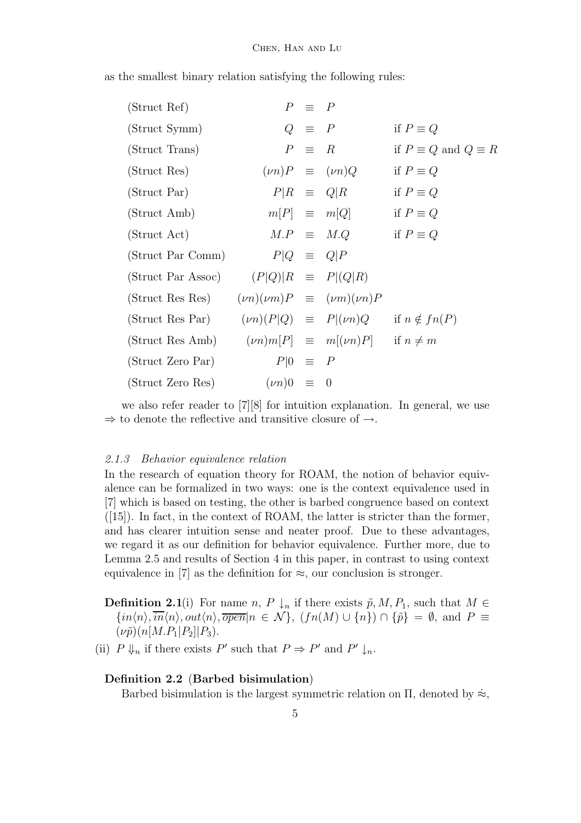| (Struct Ref)   | $P \equiv P$ |                     |
|----------------|--------------|---------------------|
| (Struct Symm)  | $Q \equiv P$ | if $P \equiv Q$     |
| (Struct Trans) | $P \equiv R$ | if $P \equiv Q$ and |

as the smallest binary relation satisfying the following rules:

| $\overline{U}$                                                        |                     | $\omega = 1$ |                            | $\  \cdot \ _1 = \emptyset$      |
|-----------------------------------------------------------------------|---------------------|--------------|----------------------------|----------------------------------|
| (Struct Trans)                                                        |                     |              | $P \equiv R$               | if $P \equiv Q$ and $Q \equiv R$ |
| (Struct Res)                                                          |                     |              | $(\nu n)P \equiv (\nu n)Q$ | if $P \equiv Q$                  |
| (Struct Par)                                                          |                     |              | $P R \equiv Q R$           | if $P \equiv Q$                  |
| (Struct Amb)                                                          |                     |              | $m[P] \equiv m[Q]$         | if $P \equiv Q$                  |
| (Struct Act)                                                          |                     |              | $M.P \equiv M.Q$           | if $P \equiv Q$                  |
| (Struct Par Comm)                                                     | $P Q \equiv Q P$    |              |                            |                                  |
| (Struct Par Assoc) $(P Q) R \equiv P (Q R)$                           |                     |              |                            |                                  |
| (Struct Res Res) $(\nu n)(\nu m)P \equiv (\nu m)(\nu n)P$             |                     |              |                            |                                  |
| (Struct Res Par) $(\nu n)(P Q) \equiv P (\nu n)Q$ if $n \notin fn(P)$ |                     |              |                            |                                  |
| (Struct Res Amb) $(\nu n)m[P] \equiv m[(\nu n)P]$ if $n \neq m$       |                     |              |                            |                                  |
| (Struct Zero Par)                                                     | $P 0 \equiv P$      |              |                            |                                  |
| (Struct Zero Res)                                                     | $(\nu n)0 \equiv 0$ |              |                            |                                  |
|                                                                       |                     |              |                            |                                  |

we also refer reader to [7][8] for intuition explanation. In general, we use  $\Rightarrow$  to denote the reflective and transitive closure of  $\rightarrow$ .

#### *2.1.3 Behavior equivalence relation*

In the research of equation theory for ROAM, the notion of behavior equivalence can be formalized in two ways: one is the context equivalence used in [7] which is based on testing, the other is barbed congruence based on context ([15]). In fact, in the context of ROAM, the latter is stricter than the former, and has clearer intuition sense and neater proof. Due to these advantages, we regard it as our definition for behavior equivalence. Further more, due to Lemma 2.5 and results of Section 4 in this paper, in contrast to using context equivalence in [7] as the definition for  $\approx$ , our conclusion is stronger.

**Definition 2.1**(i) For name *n*, *P*  $\downarrow$ <sub>*n*</sub> if there exists  $\tilde{p}$ , *M*, *P*<sub>1</sub>, such that *M* ∈  $\{in(n/n), \overline{in}(n), out(n), \overline{open}|n \in \mathcal{N}\}, (fn(M) \cup \{n\}) \cap \{\tilde{p}\} = \emptyset$ , and  $P \equiv$  $(\nu \tilde{p})(n[M.P_1|P_2]|P_3).$ 

(ii)  $P \Downarrow_n$  if there exists  $P'$  such that  $P \Rightarrow P'$  and  $P' \downarrow_n$ .

### **Definition 2.2** (**Barbed bisimulation**)

Barbed bisimulation is the largest symmetric relation on  $\Pi$ , denoted by  $\approx$ ,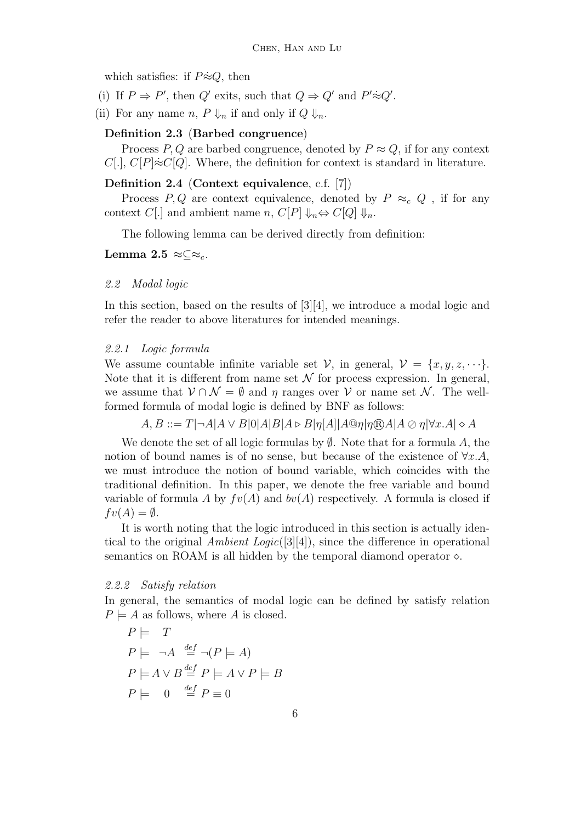which satisfies: if  $P \approx Q$ , then

- (i) If  $P \Rightarrow P'$ , then  $Q'$  exits, such that  $Q \Rightarrow Q'$  and  $P' \approx Q'$ .
- (ii) For any name *n*,  $P \Downarrow_n$  if and only if  $Q \Downarrow_n$ .

### **Definition 2.3** (**Barbed congruence**)

Process *P*, *Q* are barbed congruence, denoted by  $P \approx Q$ , if for any context *C*[.], *C*[*P*]≈ $C$ [*Q*]. Where, the definition for context is standard in literature.

#### **Definition 2.4** (**Context equivalence**, c.f. [7])

Process *P*, *Q* are context equivalence, denoted by  $P \approx_c Q$ , if for any context *C*[.] and ambient name *n*, *C*[*P*]  $\Downarrow_n \Leftrightarrow C[Q] \Downarrow_n$ .

The following lemma can be derived directly from definition:

**Lemma 2.5** ≈⊂≈<sub>*c*</sub>.

#### *2.2 Modal logic*

In this section, based on the results of [3][4], we introduce a modal logic and refer the reader to above literatures for intended meanings.

#### *2.2.1 Logic formula*

We assume countable infinite variable set  $V$ , in general,  $V = \{x, y, z, \dots\}$ . Note that it is different from name set  $\mathcal N$  for process expression. In general, we assume that  $\mathcal{V} \cap \mathcal{N} = \emptyset$  and  $\eta$  ranges over  $\mathcal{V}$  or name set  $\mathcal{N}$ . The wellformed formula of modal logic is defined by BNF as follows:

 $A, B ::= T | \neg A | A \vee B | 0 | A | B | A \triangleright B | \eta [A] | A @ \eta | \eta \mathbb{R} A | A \oslash \eta | \forall x. A | \diamond A$ 

We denote the set of all logic formulas by <sup>∅</sup>. Note that for a formula *<sup>A</sup>*, the notion of bound names is of no sense, but because of the existence of <sup>∀</sup>*x.A*, we must introduce the notion of bound variable, which coincides with the traditional definition. In this paper, we denote the free variable and bound variable of formula A by  $fv(A)$  and  $bv(A)$  respectively. A formula is closed if  $fv(A) = \emptyset$ .

It is worth noting that the logic introduced in this section is actually identical to the original *Ambient Logic*([3][4]), since the difference in operational semantics on ROAM is all hidden by the temporal diamond operator  $\diamond$ .

#### *2.2.2 Satisfy relation*

In general, the semantics of modal logic can be defined by satisfy relation  $P \models A$  as follows, where *A* is closed.

$$
P \models T
$$
  
\n
$$
P \models \neg A \stackrel{def}{=} \neg (P \models A)
$$
  
\n
$$
P \models A \lor B \stackrel{def}{=} P \models A \lor P \models B
$$
  
\n
$$
P \models 0 \stackrel{def}{=} P \equiv 0
$$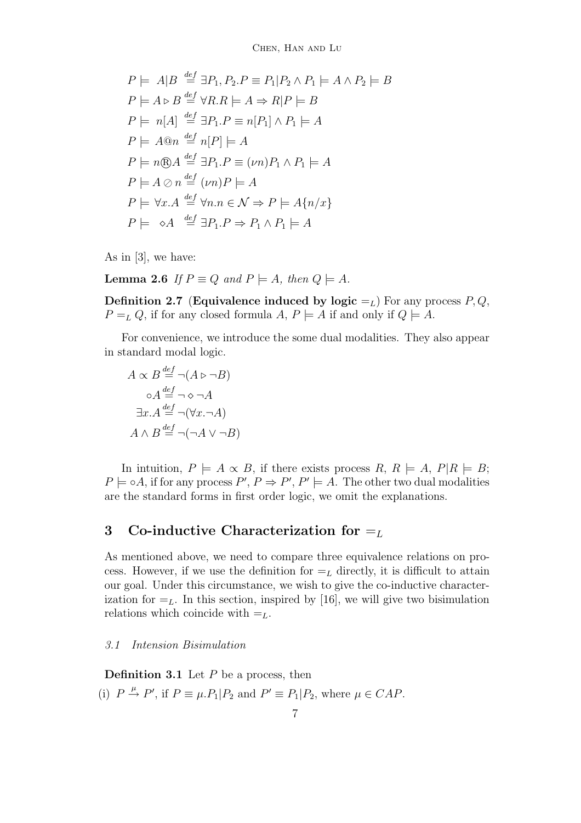$$
P \models A|B \stackrel{def}{=} \exists P_1, P_2.P \equiv P_1|P_2 \land P_1 \models A \land P_2 \models B
$$
  
\n
$$
P \models A \triangleright B \stackrel{def}{=} \forall R.R \models A \Rightarrow R|P \models B
$$
  
\n
$$
P \models n[A] \stackrel{def}{=} \exists P_1.P \equiv n[P_1] \land P_1 \models A
$$
  
\n
$$
P \models A@n \stackrel{def}{=} n[P] \models A
$$
  
\n
$$
P \models n@A \stackrel{def}{=} \exists P_1.P \equiv (\nu n)P_1 \land P_1 \models A
$$
  
\n
$$
P \models A \oslash n \stackrel{def}{=} (\nu n)P \models A
$$
  
\n
$$
P \models \forall x.A \stackrel{def}{=} \forall n.n \in \mathcal{N} \Rightarrow P \models A\{n/x\}
$$
  
\n
$$
P \models \diamond A \stackrel{def}{=} \exists P_1.P \Rightarrow P_1 \land P_1 \models A
$$

As in [3], we have:

**Lemma 2.6** *If*  $P \equiv Q$  *and*  $P \models A$ *, then*  $Q \models A$ *.* 

**Definition 2.7** (**Equivalence induced by logic**  $=$ <sub>*L*</sub>) For any process *P*, *Q*,  $P = L Q$ , if for any closed formula *A*,  $P \models A$  if and only if  $Q \models A$ .

For convenience, we introduce the some dual modalities. They also appear in standard modal logic.

$$
A \propto B \stackrel{def}{=} \neg(A \triangleright \neg B)
$$
  
\n
$$
\circ A \stackrel{def}{=} \neg \diamond \neg A
$$
  
\n
$$
\exists x.A \stackrel{def}{=} \neg(\forall x.\neg A)
$$
  
\n
$$
A \wedge B \stackrel{def}{=} \neg(\neg A \vee \neg B)
$$

In intuition,  $P \models A \propto B$ , if there exists process  $R, R \models A, P | R \models B$ ;  $P \models \circ A$ , if for any process  $P', P \Rightarrow P', P' \models A$ . The other two dual modalities are the standard forms in first order logic, we omit the explanations.

# **3** Co-inductive Characterization for  $=$

As mentioned above, we need to compare three equivalence relations on process. However, if we use the definition for  $=$ <sub>L</sub> directly, it is difficult to attain our goal. Under this circumstance, we wish to give the co-inductive characterization for  $=$ <sub>L</sub>. In this section, inspired by [16], we will give two bisimulation relations which coincide with  $=$ <sub>L</sub>.

#### *3.1 Intension Bisimulation*

**Definition 3.1** Let *P* be a process, then (i)  $P \stackrel{\mu}{\rightarrow} P'$ , if  $P \equiv \mu.P_1|P_2$  and  $P' \equiv P_1|P_2$ , where  $\mu \in CAP$ .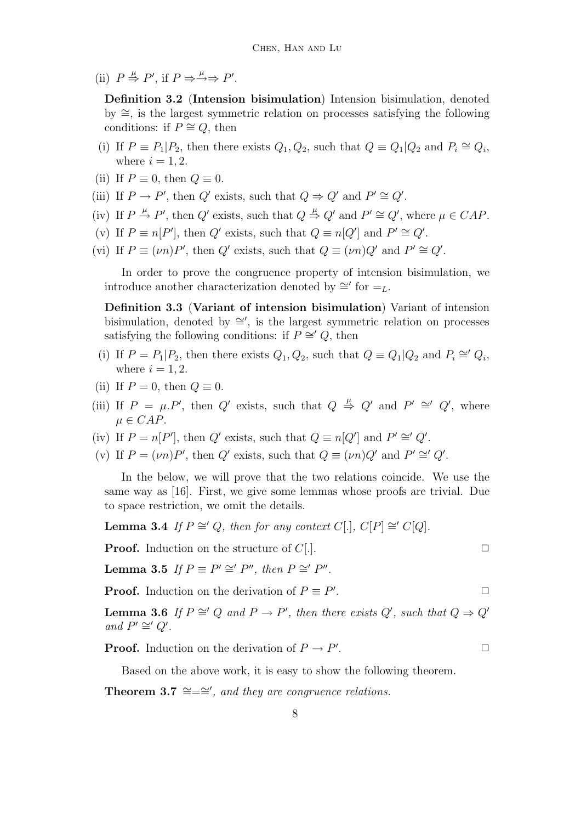(ii)  $P \stackrel{\mu}{\Rightarrow} P'$ , if  $P \Rightarrow \stackrel{\mu}{\rightarrow} P'$ .

**Definition 3.2** (**Intension bisimulation**) Intension bisimulation, denoted by ∼=, is the largest symmetric relation on processes satisfying the following conditions: if  $P \cong Q$ , then

- (i) If  $P \equiv P_1 | P_2$ , then there exists  $Q_1, Q_2$ , such that  $Q \equiv Q_1 | Q_2$  and  $P_i \cong Q_i$ , where  $i = 1, 2$ .
- (ii) If  $P \equiv 0$ , then  $Q \equiv 0$ .
- (iii) If  $P \to P'$ , then  $Q'$  exists, such that  $Q \Rightarrow Q'$  and  $P' \cong Q'$ .
- (iv) If  $P \stackrel{\mu}{\rightarrow} P'$ , then  $Q'$  exists, such that  $Q \stackrel{\mu}{\Rightarrow} Q'$  and  $P' \cong Q'$ , where  $\mu \in CAP$ .
- (v) If  $P \equiv n[P']$ , then  $Q'$  exists, such that  $Q \equiv n[Q']$  and  $P' \cong Q'$ .
- (vi) If  $P \equiv (\nu n)P'$ , then  $Q'$  exists, such that  $Q \equiv (\nu n)Q'$  and  $P' \cong Q'$ .

In order to prove the congruence property of intension bisimulation, we introduce another characterization denoted by  $\cong$  for  $=$ <sub>L</sub>.

**Definition 3.3** (**Variant of intension bisimulation**) Variant of intension bisimulation, denoted by  $\cong'$ , is the largest symmetric relation on processes satisfying the following conditions: if  $P \cong Q$ , then

- (i) If  $P = P_1|P_2$ , then there exists  $Q_1, Q_2$ , such that  $Q \equiv Q_1|Q_2$  and  $P_i \cong Q_i$ , where  $i = 1, 2$ .
- (ii) If  $P = 0$ , then  $Q \equiv 0$ .
- (iii) If  $P = \mu P'$ , then  $Q'$  exists, such that  $Q \stackrel{\mu}{\Rightarrow} Q'$  and  $P' \cong' Q'$ , where  $\mu \in CAP$ .
- (iv) If  $P = n[P']$ , then  $Q'$  exists, such that  $Q \equiv n[Q']$  and  $P' \cong' Q'$ .
- (v) If  $P = (\nu n)P'$ , then  $Q'$  exists, such that  $Q \equiv (\nu n)Q'$  and  $P' \cong' Q'$ .

In the below, we will prove that the two relations coincide. We use the same way as [16]. First, we give some lemmas whose proofs are trivial. Due to space restriction, we omit the details.

**Lemma 3.4** *If*  $P \cong Q$ *, then for any context C*[*.*]*, C*[*P*]  $\cong C[Q]$ *.* 

**Proof.** Induction on the structure of *C*[*.*].  $\Box$ 

**Lemma 3.5** *If*  $P \equiv P' \cong P''$ , then  $P \cong P''$ .

**Proof.** Induction on the derivation of  $P \equiv P'$ . .  $\Box$ 

**Lemma 3.6** *If*  $P \cong Q$  *and*  $P \to P'$ , *then there exists*  $Q'$ , *such that*  $Q \Rightarrow Q'$ *and*  $P' \cong' Q'$ .

**Proof.** Induction on the derivation of  $P \to P'$ . .  $\Box$ 

Based on the above work, it is easy to show the following theorem.

**Theorem 3.7**  $\cong = \cong'$ , and they are congruence relations.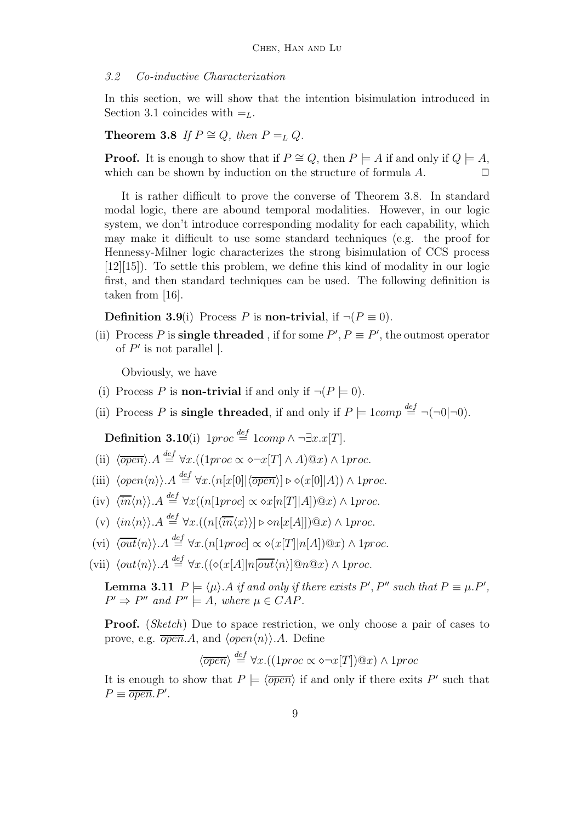#### *3.2 Co-inductive Characterization*

In this section, we will show that the intention bisimulation introduced in Section 3.1 coincides with  $=$ <sub>L</sub>.

### **Theorem 3.8** *If*  $P \cong Q$ *, then*  $P = L$  *Q.*

**Proof.** It is enough to show that if  $P \cong Q$ , then  $P \models A$  if and only if  $Q \models A$ , which can be shown by induction on the structure of formula A.

It is rather difficult to prove the converse of Theorem 3.8. In standard modal logic, there are abound temporal modalities. However, in our logic system, we don't introduce corresponding modality for each capability, which may make it difficult to use some standard techniques (e.g. the proof for Hennessy-Milner logic characterizes the strong bisimulation of CCS process [12][15]). To settle this problem, we define this kind of modality in our logic first, and then standard techniques can be used. The following definition is taken from [16].

**Definition 3.9**(i) Process *P* is **non-trivial**, if  $\neg (P \equiv 0)$ .

(ii) Process *P* is **single threaded**, if for some  $P'$ ,  $P \equiv P'$ , the outmost operator of  $P'$  is not parallel |.

Obviously, we have

- (i) Process *P* is **non-trivial** if and only if  $\neg (P \models 0)$ .
- (ii) Process *P* is **single threaded**, if and only if  $P \models \text{1} \text{comp} \stackrel{\text{def}}{=} \neg(\neg 0|\neg 0)$ .

**Definition 3.10**(i)  $1proc \stackrel{def}{=} 1comp \land ∎∃x.x[T]$ .

- (ii)  $\langle \overline{open} \rangle.A \stackrel{def}{=} \forall x.((1proc \propto \diamond \neg x[T] \land A)@x) \land 1proc.$
- (iii)  $\langle open\langle n \rangle \rangle \cdot A \stackrel{def}{=} \forall x. (n[x[0]|\langle \overline{open} \rangle] \triangleright \diamond (x[0]|A)) \wedge 1proc.$
- $\langle \overline{in} \langle n \rangle \rangle$ . $A \stackrel{def}{=} \forall x ((n[1proc] \propto \& x[n[T]|A])@x) \wedge 1proc.$
- $(v) \langle in \langle n \rangle \rangle$ . $A \stackrel{def}{=} \forall x. ((n[\langle \overline{in} \langle x \rangle \rangle] \triangleright \langle n[x[A]]]) \mathbb{Q} x) \wedge 1proc.$
- $\langle \text{vii} \rangle$   $\langle \overline{out} \langle n \rangle \rangle$ . $A \stackrel{def}{=} \forall x. (n[1proc] \propto \diamond(x[T] | n[A]) @x) \wedge 1proc.$
- $\langle \text{vii} \rangle$   $\langle \text{out}\langle n \rangle \rangle$ . $A \stackrel{\text{def}}{=} \forall x.((\diamond(x[A]|n[\overline{\text{out}}\langle n \rangle]\mathcal{Q}n\mathcal{Q}x) \land 1proc.$

**Lemma 3.11**  $P \models \langle \mu \rangle$ . A *if and only if there exists*  $P', P''$  *such that*  $P \equiv \mu.P',$  $P' \Rightarrow P''$  and  $P'' \models A$ , where  $\mu \in CAP$ .

**Proof.** (*Sketch*) Due to space restriction, we only choose a pair of cases to prove, e.g.  $\overline{open}.A$ , and  $\langle open \langle n \rangle \rangle.A$ . Define

$$
\langle \overline{open} \rangle \stackrel{def}{=} \forall x. ((1proc \propto \diamond \neg x[T])@x) \wedge 1proc
$$

It is enough to show that  $P \models \langle \overline{open} \rangle$  if and only if there exits P' such that  $P \equiv \overline{open} P'$ .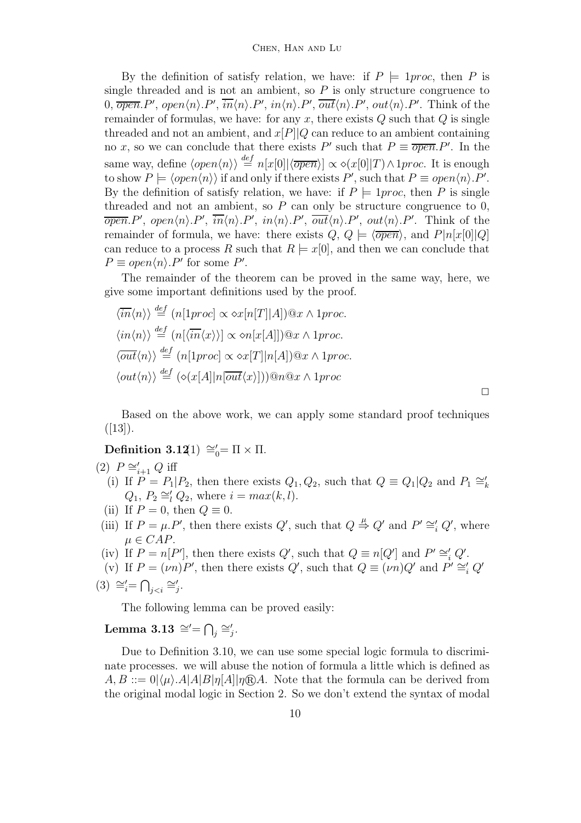By the definition of satisfy relation, we have: if  $P \models 1proc$ , then *P* is single threaded and is not an ambient, so  $P$  is only structure congruence to 0,  $\overline{open}.P'$ ,  $open\langle n\rangle.P', \overline{in}\langle n\rangle.P', in\langle n\rangle.P', \overline{out}\langle n\rangle.P', out\langle n\rangle.P'.$  Think of the remainder of formulas, we have: for any *x*, there exists *Q* such that *Q* is single threaded and not an ambient, and *<sup>x</sup>*[*P*]|*<sup>Q</sup>* can reduce to an ambient containing no *x*, so we can conclude that there exists *P*' such that  $P \equiv \overline{open} \cdot P'$ . In the same way, define  $\langle open \langle n \rangle \rangle \stackrel{def}{=} n[x[0]|\langle \overline{open} \rangle] \propto \langle x[0]|T \rangle \wedge 1proc$ . It is enough to show  $P \models \langle open \langle n \rangle \rangle$  if and only if there exists  $P'$ , such that  $P \equiv open \langle n \rangle \cdot P'$ . By the definition of satisfy relation, we have: if  $P \models 1proc$ , then *P* is single threaded and not an ambient, so  $P$  can only be structure congruence to  $0$ ,  $\overline{open}$ .*P*',  $open\langle n\rangle$ .*P*',  $\overline{in}\langle n\rangle$ .*P*',  $in\langle n\rangle$ .*P*',  $\overline{out}\langle n\rangle$ .*P*',  $out\langle n\rangle$ .*P*'. Think of the remainder of formula, we have: there exists  $Q, Q \models \langle \overline{open} \rangle$ , and  $P|n[x[0]|Q]$ can reduce to a process R such that  $R \models x[0]$ , and then we can conclude that  $P \equiv open\langle n \rangle.P'$  for some  $P'$ .

The remainder of the theorem can be proved in the same way, here, we give some important definitions used by the proof.

$$
\langle \overline{in}\langle n \rangle \rangle \stackrel{def}{=} (n[1proc] \propto \diamond x[n[T]|A]) @x \wedge 1proc.\langle in\langle n \rangle \rangle \stackrel{def}{=} (n[\langle \overline{in}\langle x \rangle \rangle] \propto \diamond n[x[A]]) @x \wedge 1proc.\langle \overline{out}\langle n \rangle \rangle \stackrel{def}{=} (n[1proc] \propto \diamond x[T]|n[A]) @x \wedge 1proc.\langle out\langle n \rangle \rangle \stackrel{def}{=} (\diamond(x[A]|n[\overline{out}\langle x \rangle])) @n@x \wedge 1proc
$$

Based on the above work, we can apply some standard proof techniques  $([13]).$ 

**Definition 3.12**(1)  $\cong$ <sup>6</sup><sub>0</sub> = Π × Π.

(2) 
$$
P \cong_{i+1}^{\prime} Q
$$
 iff  
\n(i) If  $P = P$ 

- (i) If  $P = P_1 | P_2$ , then there exists  $Q_1, Q_2$ , such that  $Q = Q_1 | Q_2$  and  $P_1 \cong k$  $Q_1, P_2 \cong l \ Q_2$ , where  $i = max(k, l)$ .
- (ii) If  $P = 0$ , then  $Q \equiv 0$ .
- (iii) If  $P = \mu \cdot P'$ , then there exists  $Q'$ , such that  $Q \stackrel{\mu}{\Rightarrow} Q'$  and  $P' \cong_i' Q'$ , where  $\mu \in CAP$ .
- (iv) If  $P = n[P']$ , then there exists  $Q'$ , such that  $Q \equiv n[Q']$  and  $P' \cong'_{i} Q'$ .
- (v) If  $P = (\nu n)P'$ , then there exists  $Q'$ , such that  $Q \equiv (\nu n)Q'$  and  $P' \cong_i' Q'$

$$
(3) \cong_i' = \bigcap_{j < i} \cong_j'.
$$

The following lemma can be proved easily:

# $\textbf{Lemma 3.13} \cong = \bigcap_i \cong_i'.$

Due to Definition 3.10, we can use some special logic formula to discriminate processes. we will abuse the notion of formula a little which is defined as  $A, B ::= 0 | \langle \mu \rangle$ .  $A |A| B | \eta [A] | \eta \mathbb{R} A$ . Note that the formula can be derived from the original modal logic in Section 2. So we don't extend the syntax of modal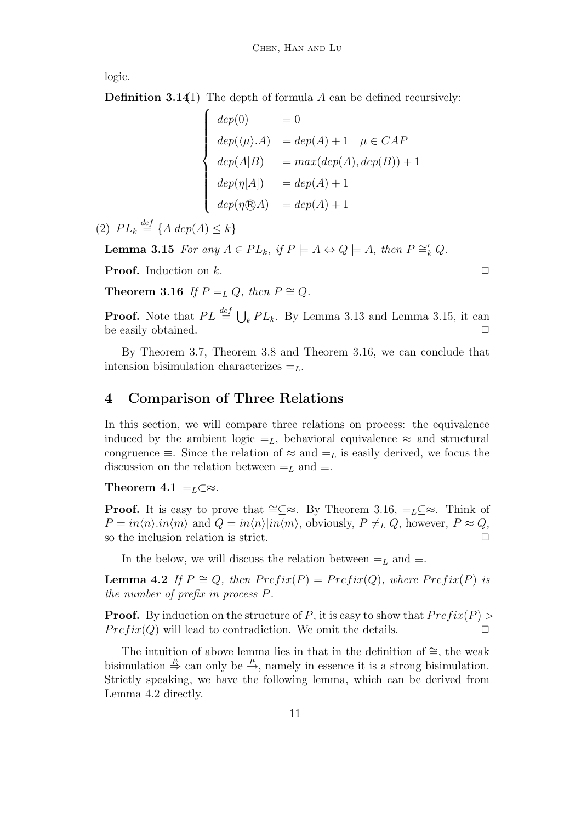logic.

**Definition 3.141**) The depth of formula *A* can be defined recursively:

$$
\begin{cases}\n\deg(0) = 0 \\
\deg(\langle \mu \rangle.A) = \deg(A) + 1 & \mu \in CAP \\
\deg(A|B) = \max(\deg(A), \deg(B)) + 1 \\
\deg(\eta[A]) = \deg(A) + 1 \\
\deg(\eta \circledR A) = \deg(A) + 1\n\end{cases}
$$

(2)  $PL_k \stackrel{def}{=} \{A | dep(A) \leq k\}$ 

**Lemma 3.15** *For any*  $A \in PL_k$ *, if*  $P \models A \Leftrightarrow Q \models A$ *, then*  $P \cong_k^{\prime} Q$ *.* 

**Proof.** Induction on  $k$ .

**Theorem 3.16** *If*  $P = L Q$ *, then*  $P \cong Q$ *.* 

**Proof.** Note that  $PL \stackrel{def}{=} \bigcup_k PL_k$ . By Lemma 3.13 and Lemma 3.15, it can be easily obtained.  $\Box$ 

By Theorem 3.7, Theorem 3.8 and Theorem 3.16, we can conclude that intension bisimulation characterizes =*L*.

# **4 Comparison of Three Relations**

In this section, we will compare three relations on process: the equivalence induced by the ambient logic  $=_L$ , behavioral equivalence  $\approx$  and structural congruence  $\equiv$ . Since the relation of  $\approx$  and  $=$ <sub>L</sub> is easily derived, we focus the discussion on the relation between  $=_L$  and  $\equiv$ .

**Theorem 4.1** = $L \subset \mathbb{R}$ .

**Proof.** It is easy to prove that  $\cong \subset \infty$ . By Theorem 3.16, = $L \subset \infty$ . Think of  $P = in \langle n \rangle \cdot in \langle m \rangle$  and  $Q = in \langle n \rangle | in \langle m \rangle$ , obviously,  $P \neq_L Q$ , however,  $P \approx Q$ , so the inclusion relation is strict.

In the below, we will discuss the relation between  $=$ <sub>L</sub> and  $\equiv$ .

**Lemma 4.2** *If*  $P \cong Q$ *, then*  $Prefix(P) = Prefix(Q)$ *, where*  $Prefix(P)$  *is the number of prefix in process P.* 

**Proof.** By induction on the structure of *P*, it is easy to show that  $Prefix(P)$  $Prefix(Q)$  will lead to contradiction. We omit the details.  $\Box$ 

The intuition of above lemma lies in that in the definition of  $\cong$ , the weak bisimulation  $\stackrel{\mu}{\Rightarrow}$  can only be  $\stackrel{\mu}{\rightarrow}$ , namely in essence it is a strong bisimulation. Strictly speaking, we have the following lemma, which can be derived from Lemma 4.2 directly.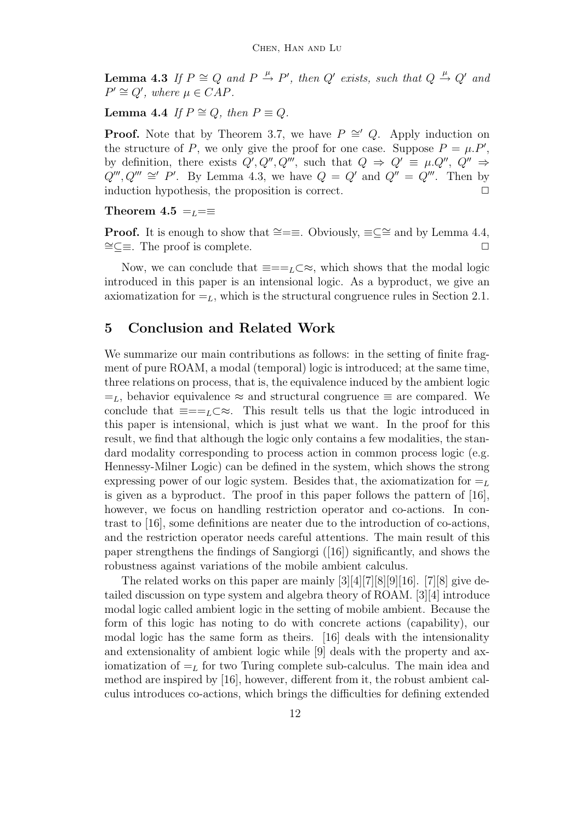**Lemma 4.3** *If*  $P \cong Q$  *and*  $P \stackrel{\mu}{\rightarrow} P'$ , *then*  $Q'$  *exists, such that*  $Q \stackrel{\mu}{\rightarrow} Q'$  *and*  $P' \cong Q'$ , where  $\mu \in CAP$ .

**Lemma 4.4** *If*  $P \cong Q$ *, then*  $P \equiv Q$ *.* 

**Proof.** Note that by Theorem 3.7, we have  $P \cong Q$ . Apply induction on the structure of *P*, we only give the proof for one case. Suppose  $P = \mu P$ , by definition, there exists  $Q', Q'', Q'''$ , such that  $Q \Rightarrow Q' \equiv \mu.Q'', Q'' \Rightarrow$  $Q'''$ ,  $Q''' \cong' P'$ . By Lemma 4.3, we have  $Q = Q'$  and  $Q'' = Q'''$ . Then by induction hypothesis, the proposition is correct.  $\Box$ 

#### **Theorem 4.5**  $=$  $L = \equiv$

**Proof.** It is enough to show that ≅=≡. Obviously, ≡⊆≅ and by Lemma 4.4,  $\cong \subseteq \cong$ . The proof is complete.

Now, we can conclude that  $\equiv =I_{\mathcal{L}}\subset \approx$ , which shows that the modal logic introduced in this paper is an intensional logic. As a byproduct, we give an axiomatization for  $=_L$ , which is the structural congruence rules in Section 2.1.

# **5 Conclusion and Related Work**

We summarize our main contributions as follows: in the setting of finite fragment of pure ROAM, a modal (temporal) logic is introduced; at the same time, three relations on process, that is, the equivalence induced by the ambient logic  $=$ <sub>L</sub>, behavior equivalence  $\approx$  and structural congruence  $\equiv$  are compared. We conclude that  $\equiv =I_{L}\subset \approx$ . This result tells us that the logic introduced in this paper is intensional, which is just what we want. In the proof for this result, we find that although the logic only contains a few modalities, the standard modality corresponding to process action in common process logic (e.g. Hennessy-Milner Logic) can be defined in the system, which shows the strong expressing power of our logic system. Besides that, the axiomatization for  $=$ <sub>L</sub> is given as a byproduct. The proof in this paper follows the pattern of [16], however, we focus on handling restriction operator and co-actions. In contrast to [16], some definitions are neater due to the introduction of co-actions, and the restriction operator needs careful attentions. The main result of this paper strengthens the findings of Sangiorgi ([16]) significantly, and shows the robustness against variations of the mobile ambient calculus.

The related works on this paper are mainly [3][4][7][8][9][16]. [7][8] give detailed discussion on type system and algebra theory of ROAM. [3][4] introduce modal logic called ambient logic in the setting of mobile ambient. Because the form of this logic has noting to do with concrete actions (capability), our modal logic has the same form as theirs. [16] deals with the intensionality and extensionality of ambient logic while [9] deals with the property and axiomatization of  $=$ <sub>L</sub> for two Turing complete sub-calculus. The main idea and method are inspired by [16], however, different from it, the robust ambient calculus introduces co-actions, which brings the difficulties for defining extended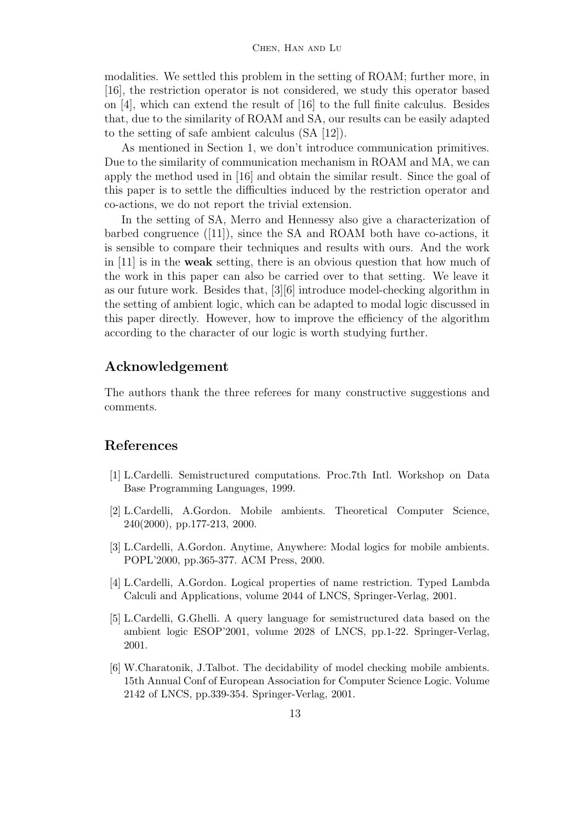modalities. We settled this problem in the setting of ROAM; further more, in [16], the restriction operator is not considered, we study this operator based on [4], which can extend the result of [16] to the full finite calculus. Besides that, due to the similarity of ROAM and SA, our results can be easily adapted to the setting of safe ambient calculus (SA [12]).

As mentioned in Section 1, we don't introduce communication primitives. Due to the similarity of communication mechanism in ROAM and MA, we can apply the method used in [16] and obtain the similar result. Since the goal of this paper is to settle the difficulties induced by the restriction operator and co-actions, we do not report the trivial extension.

In the setting of SA, Merro and Hennessy also give a characterization of barbed congruence  $([11])$ , since the SA and ROAM both have co-actions, it is sensible to compare their techniques and results with ours. And the work in [11] is in the **weak** setting, there is an obvious question that how much of the work in this paper can also be carried over to that setting. We leave it as our future work. Besides that, [3][6] introduce model-checking algorithm in the setting of ambient logic, which can be adapted to modal logic discussed in this paper directly. However, how to improve the efficiency of the algorithm according to the character of our logic is worth studying further.

# **Acknowledgement**

The authors thank the three referees for many constructive suggestions and comments.

# **References**

- [1] L.Cardelli. Semistructured computations. Proc.7th Intl. Workshop on Data Base Programming Languages, 1999.
- [2] L.Cardelli, A.Gordon. Mobile ambients. Theoretical Computer Science, 240(2000), pp.177-213, 2000.
- [3] L.Cardelli, A.Gordon. Anytime, Anywhere: Modal logics for mobile ambients. POPL'2000, pp.365-377. ACM Press, 2000.
- [4] L.Cardelli, A.Gordon. Logical properties of name restriction. Typed Lambda Calculi and Applications, volume 2044 of LNCS, Springer-Verlag, 2001.
- [5] L.Cardelli, G.Ghelli. A query language for semistructured data based on the ambient logic ESOP'2001, volume 2028 of LNCS, pp.1-22. Springer-Verlag, 2001.
- [6] W.Charatonik, J.Talbot. The decidability of model checking mobile ambients. 15th Annual Conf of European Association for Computer Science Logic. Volume 2142 of LNCS, pp.339-354. Springer-Verlag, 2001.